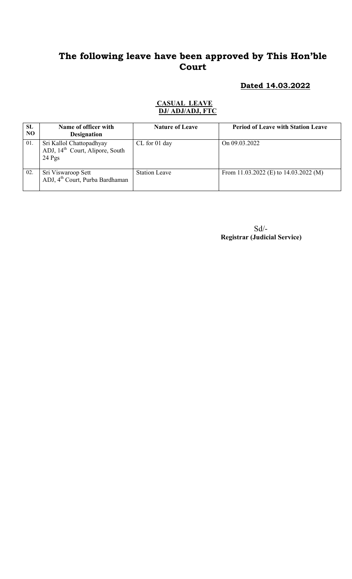### Dated 14.03.2022

#### CASUAL LEAVE DJ/ ADJ/ADJ, FTC

| SL<br>N <sub>O</sub> | Name of officer with<br><b>Designation</b>                                          | <b>Nature of Leave</b> | <b>Period of Leave with Station Leave</b> |
|----------------------|-------------------------------------------------------------------------------------|------------------------|-------------------------------------------|
| 01.                  | Sri Kallol Chattopadhyay<br>ADJ, 14 <sup>th</sup> Court, Alipore, South<br>$24$ Pgs | $CL$ for 01 day        | On $09.03.2022$                           |
| 02.                  | Sri Viswaroop Sett<br>ADJ, 4 <sup>th</sup> Court, Purba Bardhaman                   | <b>Station Leave</b>   | From 11.03.2022 (E) to $14.03.2022$ (M)   |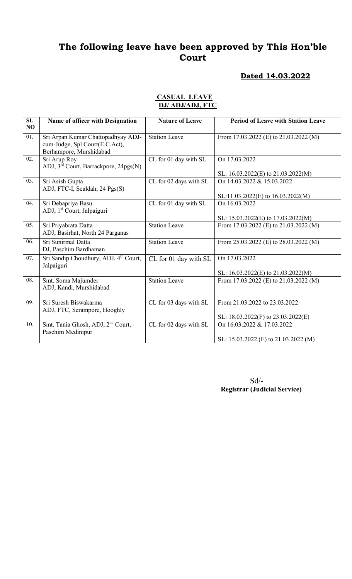### Dated 14.03.2022

#### CASUAL LEAVE DJ/ ADJ/ADJ, FTC

| SL<br>N <sub>O</sub> | Name of officer with Designation                                                                | <b>Nature of Leave</b> | <b>Period of Leave with Station Leave</b>                           |
|----------------------|-------------------------------------------------------------------------------------------------|------------------------|---------------------------------------------------------------------|
| $\overline{01}$ .    | Sri Arpan Kumar Chattopadhyay ADJ-<br>cum-Judge, Spl Court(E.C.Act),<br>Berhampore, Murshidabad | <b>Station Leave</b>   | From 17.03.2022 (E) to 21.03.2022 (M)                               |
| 02.                  | Sri Arup Roy<br>ADJ, 3 <sup>rd</sup> Court, Barrackpore, 24pgs(N)                               | CL for 01 day with SL  | On 17.03.2022<br>SL: $16.03.2022(E)$ to $21.03.2022(M)$             |
| 03.                  | Sri Asish Gupta<br>ADJ, FTC-I, Sealdah, 24 Pgs(S)                                               | CL for 02 days with SL | On 14.03.2022 & 15.03.2022<br>$SL:11.03.2022(E)$ to $16.03.2022(M)$ |
| 04.                  | Sri Debapriya Basu<br>ADJ, 1 <sup>st</sup> Court, Jalpaiguri                                    | CL for 01 day with SL  | On 16.03.2022<br>SL: $15.03.2022(E)$ to $17.03.2022(M)$             |
| 05.                  | Sri Priyabrata Datta<br>ADJ, Basirhat, North 24 Parganas                                        | <b>Station Leave</b>   | From 17.03.2022 (E) to $21.03.2022$ (M)                             |
| 06.                  | Sri Sunirmal Datta<br>DJ, Paschim Bardhaman                                                     | <b>Station Leave</b>   | From 25.03.2022 (E) to 28.03.2022 (M)                               |
| 07.                  | Sri Sandip Choudhury, ADJ, 4 <sup>th</sup> Court,<br>Jalpaiguri                                 | CL for 01 day with SL  | On 17.03.2022<br>SL: $16.03.2022(E)$ to $21.03.2022(M)$             |
| 08.                  | Smt. Soma Majumder<br>ADJ, Kandi, Murshidabad                                                   | <b>Station Leave</b>   | From 17.03.2022 (E) to $21.03.2022$ (M)                             |
| 09.                  | Sri Suresh Biswakarma<br>ADJ, FTC, Serampore, Hooghly                                           | CL for 03 days with SL | From 21.03.2022 to 23.03.2022<br>SL: 18.03.2022(F) to 23.03.2022(E) |
| 10.                  | Smt. Tania Ghosh, ADJ, 2 <sup>nd</sup> Court,<br>Paschim Medinipur                              | CL for 02 days with SL | On 16.03.2022 & 17.03.2022<br>SL: 15.03.2022 (E) to 21.03.2022 (M)  |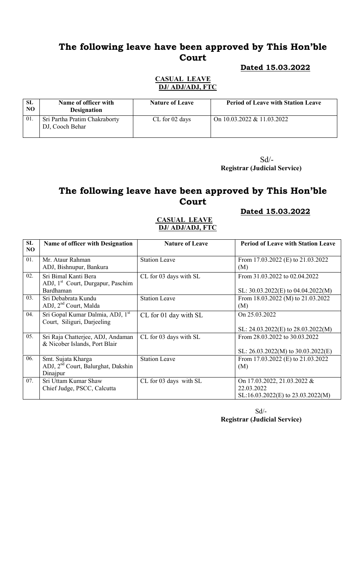#### Dated 15.03.2022

#### CASUAL LEAVE DJ/ ADJ/ADJ, FTC

| SL<br>NO | Name of officer with<br><b>Designation</b>       | <b>Nature of Leave</b> | <b>Period of Leave with Station Leave</b> |
|----------|--------------------------------------------------|------------------------|-------------------------------------------|
| 01.      | Sri Partha Pratim Chakraborty<br>DJ, Cooch Behar | CL for 02 days         | On $10.03.2022 \& 11.03.2022$             |

 Sd/- Registrar (Judicial Service)

### The following leave have been approved by This Hon'ble Court

### Dated 15.03.2022

### CASUAL LEAVE DJ/ ADJ/ADJ, FTC

| SL             | <b>Name of officer with Designation</b>        | <b>Nature of Leave</b> | <b>Period of Leave with Station Leave</b> |
|----------------|------------------------------------------------|------------------------|-------------------------------------------|
| N <sub>O</sub> |                                                |                        |                                           |
| 01.            | Mr. Ataur Rahman                               | <b>Station Leave</b>   | From 17.03.2022 (E) to 21.03.2022         |
|                | ADJ, Bishnupur, Bankura                        |                        | (M)                                       |
| 02.            | Sri Bimal Kanti Bera                           | CL for 03 days with SL | From 31.03.2022 to 02.04.2022             |
|                | ADJ, 1 <sup>st</sup> Court, Durgapur, Paschim  |                        |                                           |
|                | Bardhaman                                      |                        | SL: $30.03.2022(E)$ to $04.04.2022(M)$    |
| 03.            | Sri Debabrata Kundu                            | <b>Station Leave</b>   | From 18.03.2022 (M) to 21.03.2022         |
|                | ADJ, 2 <sup>nd</sup> Court, Malda              |                        | (M)                                       |
| 04.            | Sri Gopal Kumar Dalmia, ADJ, 1st               | CL for 01 day with SL  | On 25.03.2022                             |
|                | Court, Siliguri, Darjeeling                    |                        |                                           |
|                |                                                |                        | SL: $24.03.2022(E)$ to $28.03.2022(M)$    |
| 05.            | Sri Raja Chatterjee, ADJ, Andaman              | CL for 03 days with SL | From 28.03.2022 to 30.03.2022             |
|                | & Nicober Islands, Port Blair                  |                        |                                           |
|                |                                                |                        | SL: $26.03.2022(M)$ to $30.03.2022(E)$    |
| 06.            | Smt. Sujata Kharga                             | <b>Station Leave</b>   | From 17.03.2022 (E) to 21.03.2022         |
|                | ADJ, 2 <sup>nd</sup> Court, Balurghat, Dakshin |                        | (M)                                       |
|                | Dinajpur                                       |                        |                                           |
| 07.            | Sri Uttam Kumar Shaw                           | CL for 03 days with SL | On 17.03.2022, 21.03.2022 &               |
|                | Chief Judge, PSCC, Calcutta                    |                        | 22.03.2022                                |
|                |                                                |                        | SL:16.03.2022(E) to 23.03.2022(M)         |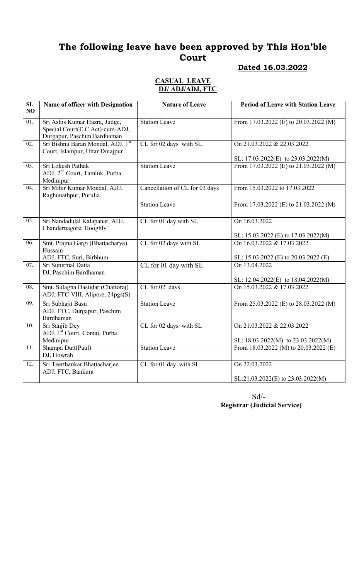## Dated 16.03.2022

### CASUAL LEAVE DJ/ ADJ/ADJ, FTC

| $\overline{\text{SL}}$<br>NO | Name of officer with Designation                                                                | <b>Nature of Leave</b>         | <b>Period of Leave with Station Leave</b>                                                   |
|------------------------------|-------------------------------------------------------------------------------------------------|--------------------------------|---------------------------------------------------------------------------------------------|
| 01.                          | Sri Ashis Kumar Hazra, Judge,<br>Special Court(E.C Act)-cum-ADJ,<br>Durgapur, Paschim Bardhaman | <b>Station Leave</b>           | From 17.03.2022 (E) to 20.03.2022 (M)                                                       |
| 02.                          | Sri Bishnu Baran Mondal, ADJ, 1st<br>Court, Islampur, Uttar Dinajpur                            | CL for 02 days with SL         | On 21.03.2022 & 22.03.2022<br>SL: 17.03.2022(E) to 23.03.2022(M)                            |
| $\overline{03}$ .            | Sri Lokesh Pathak<br>ADJ, 2 <sup>nd</sup> Court, Tamluk, Purba<br>Medinipur                     | <b>Station Leave</b>           | From 17.03.2022 (E) to 21.03.2022 (M)                                                       |
| 04.                          | Sri Mihir Kumar Mondal, ADJ,<br>Raghunathpur, Purulia                                           | Cancellation of CL for 03 days | From 15.03.2022 to 17.03.2022                                                               |
|                              |                                                                                                 | <b>Station Leave</b>           | From 17.03.2022 (E) to 21.03.2022 (M)                                                       |
| 05.                          | Sri Nandadulal Kalapahar, ADJ,<br>Chandernagore, Hooghly                                        | CL for 01 day with SL          | On 16.03.2022<br>SL: 15.03.2022 (E) to 17.03.2022(M)                                        |
| 06.                          | Smt. Prajna Gargi (Bhattacharya)<br>Hussain                                                     | CL for 02 days with SL         | On 16.03.2022 & 17.03.2022                                                                  |
| 07.                          | ADJ, FTC, Suri, Birbhum<br>Sri Sunirmal Datta<br>DJ, Paschim Bardhaman                          | CL for 01 day with SL          | SL: 15.03.2022 (E) to 20.03.2022 (E)<br>On 13.04.2022<br>SL: 12.04.2022(E) to 18.04.2022(M) |
| 08.                          | Smt. Sulagna Dastidar (Chattoraj)<br>ADJ, FTC-VIII, Alipore, 24pgs(S)                           | CL for 02 days                 | On 15.03.2022 & 17.03.2022                                                                  |
| $\overline{09}$ .            | Sri Subhajit Basu<br>ADJ, FTC, Durgapur, Paschim<br>Bardhaman                                   | <b>Station Leave</b>           | From 25.03.2022 (E) to 28.03.2022 (M)                                                       |
| 10.                          | Sri Sanjib Dey<br>ADJ, 1 <sup>st</sup> Court, Contai, Purba                                     | CL for 02 days with SL         | On 21.03.2022 & 22.03.2022                                                                  |
| 11.                          | Medinipur<br>Shampa Dutt(Paul)<br>DJ, Howrah                                                    | <b>Station Leave</b>           | SL: 18.03.2022(M) to 23.03.2022(M)<br>From 18.03.2022 (M) to $20.03.2022$ (E)               |
| 12.                          | Sri Teerthankar Bhattacharjee<br>ADJ, FTC, Bankura                                              | CL for 01 day with SL          | On 22.03.2022                                                                               |
|                              |                                                                                                 |                                | SL:21.03.2022(E) to 23.03.2022(M)                                                           |

Sd/- Registrar (Judicial Service)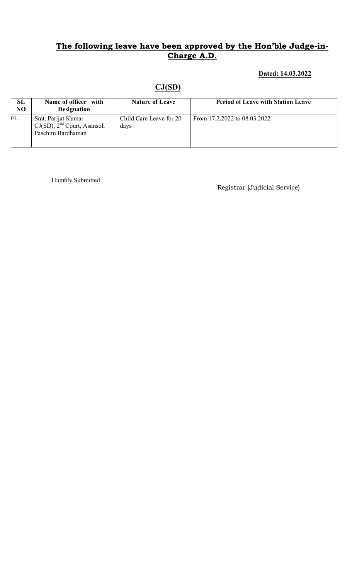## Dated: 14.03.2022

### CJ(SD)

| SL<br>N <sub>O</sub> | Name of officer with<br><b>Designation</b>                                  | <b>Nature of Leave</b>          | <b>Period of Leave with Station Leave</b> |
|----------------------|-----------------------------------------------------------------------------|---------------------------------|-------------------------------------------|
| 01.                  | Smt. Parijat Kumar<br>$CJ(SD)$ , $2nd$ Court, Asansol,<br>Paschim Bardhaman | Child Care Leave for 20<br>days | From 17.2.2022 to 08.03.2022              |

Humbly Submitted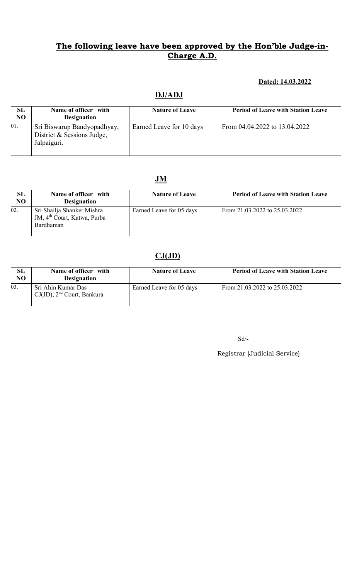### Dated: 14.03.2022

## DJ/ADJ

| SL<br>NO | Name of officer with<br><b>Designation</b>                               | <b>Nature of Leave</b>   | <b>Period of Leave with Station Leave</b> |
|----------|--------------------------------------------------------------------------|--------------------------|-------------------------------------------|
| 01.      | Sri Biswarup Bandyopadhyay,<br>District & Sessions Judge,<br>Jalpaiguri. | Earned Leave for 10 days | From 04.04.2022 to 13.04.2022             |

## JM

| SL<br>NO | Name of officer with<br><b>Designation</b>                                         | <b>Nature of Leave</b>   | <b>Period of Leave with Station Leave</b> |
|----------|------------------------------------------------------------------------------------|--------------------------|-------------------------------------------|
| 02.      | Sri Shailja Shanker Mishra<br>JM, 4 <sup>th</sup> Court, Katwa, Purba<br>Bardhaman | Earned Leave for 05 days | From 21.03.2022 to 25.03.2022             |

## $CJ(JD)$

| SL<br>N <sub>O</sub> | Name of officer with<br><b>Designation</b>            | <b>Nature of Leave</b>   | <b>Period of Leave with Station Leave</b> |
|----------------------|-------------------------------------------------------|--------------------------|-------------------------------------------|
| 03.                  | Sri Ahin Kumar Das<br>$CJ(JD)$ , $2nd$ Court, Bankura | Earned Leave for 05 days | From 21.03.2022 to 25.03.2022             |

 $\mbox{Sd}/\mbox{-}$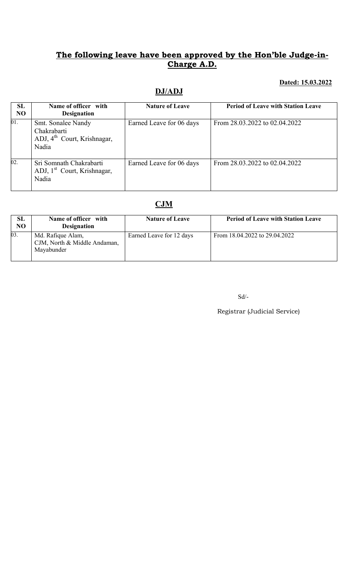### Dated: 15.03.2022

## DJ/ADJ

| SL<br>NO          | Name of officer with<br><b>Designation</b>                                            | <b>Nature of Leave</b>   | <b>Period of Leave with Station Leave</b> |
|-------------------|---------------------------------------------------------------------------------------|--------------------------|-------------------------------------------|
| $\overline{01}$ . | Smt. Sonalee Nandy<br>Chakrabarti<br>ADJ, 4 <sup>th</sup> Court, Krishnagar,<br>Nadia | Earned Leave for 06 days | From 28.03.2022 to 02.04.2022             |
| $\overline{02}$ . | Sri Somnath Chakrabarti<br>ADJ, 1 <sup>st</sup> Court, Krishnagar,<br>Nadia           | Earned Leave for 06 days | From 28.03.2022 to 02.04.2022             |

# **CJM**

| <b>SL</b><br>N <sub>O</sub> | Name of officer with<br><b>Designation</b>                      | <b>Nature of Leave</b>   | <b>Period of Leave with Station Leave</b> |
|-----------------------------|-----------------------------------------------------------------|--------------------------|-------------------------------------------|
| 03.                         | Md. Rafique Alam,<br>CJM, North & Middle Andaman,<br>Mayabunder | Earned Leave for 12 days | From 18.04.2022 to 29.04.2022             |

Sd/-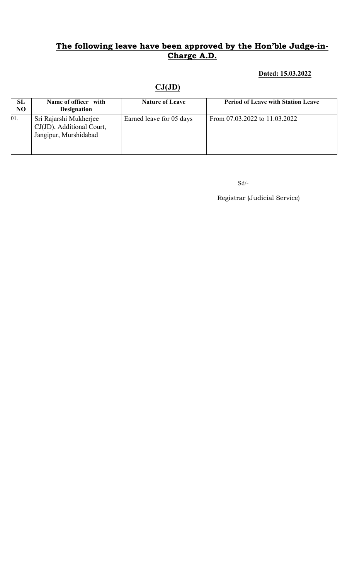### Dated: 15.03.2022

## $CJ(JD)$

| <b>SL</b><br>N <sub>O</sub> | Name of officer with<br><b>Designation</b>                                   | <b>Nature of Leave</b>   | <b>Period of Leave with Station Leave</b> |
|-----------------------------|------------------------------------------------------------------------------|--------------------------|-------------------------------------------|
| 01.                         | Sri Rajarshi Mukherjee<br>CJ(JD), Additional Court,<br>Jangipur, Murshidabad | Earned leave for 05 days | From 07.03.2022 to 11.03.2022             |

 $\mbox{Sd}/\mbox{-}$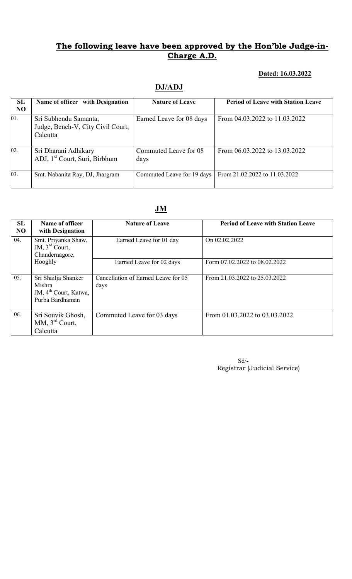### Dated: 16.03.2022

## DJ/ADJ

| <b>SL</b><br>N <sub>O</sub> | Name of officer with Designation                                       | <b>Nature of Leave</b>        | <b>Period of Leave with Station Leave</b> |
|-----------------------------|------------------------------------------------------------------------|-------------------------------|-------------------------------------------|
| 01.                         | Sri Subhendu Samanta,<br>Judge, Bench-V, City Civil Court,<br>Calcutta | Earned Leave for 08 days      | From 04.03.2022 to 11.03.2022             |
| 02.                         | Sri Dharani Adhikary<br>ADJ, 1 <sup>st</sup> Court, Suri, Birbhum      | Commuted Leave for 08<br>days | From 06.03.2022 to 13.03.2022             |
| 03.                         | Smt. Nabanita Ray, DJ, Jhargram                                        | Commuted Leave for 19 days    | From 21.02.2022 to 11.03.2022             |

### JM

| SL<br>N <sub>O</sub> | Name of officer<br>with Designation                                                   | <b>Nature of Leave</b>                      | <b>Period of Leave with Station Leave</b> |
|----------------------|---------------------------------------------------------------------------------------|---------------------------------------------|-------------------------------------------|
| 04.                  | Smt. Priyanka Shaw,<br>JM, 3 <sup>rd</sup> Court,<br>Chandernagore,                   | Earned Leave for 01 day                     | On 02.02.2022                             |
|                      | Hooghly                                                                               | Earned Leave for 02 days                    | Form 07.02.2022 to 08.02.2022             |
| 05.                  | Sri Shailja Shanker<br>Mishra<br>JM, 4 <sup>th</sup> Court, Katwa,<br>Purba Bardhaman | Cancellation of Earned Leave for 05<br>days | From 21.03.2022 to 25.03.2022             |
| 06.                  | Sri Souvik Ghosh,<br>MM, $3rd$ Court,<br>Calcutta                                     | Commuted Leave for 03 days                  | From 01.03.2022 to 03.03.2022             |